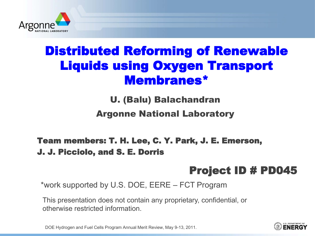

## Distributed Reforming of Renewable Liquids using Oxygen Transport Membranes\*

U. (Balu) Balachandran

Argonne National Laboratory

#### Team members: T. H. Lee, C. Y. Park, J. E. Emerson, J. J. Picciolo, and S. E. Dorris

#### Project ID # PD045

\*work supported by U.S. DOE, EERE – FCT Program

This presentation does not contain any proprietary, confidential, or otherwise restricted information.

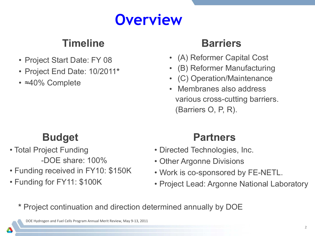# **Overview**

#### **Timeline**

- Project Start Date: FY 08
- Project End Date: 10/2011**\***
- ≈40% Complete

#### **Barriers**

- (A) Reformer Capital Cost
- (B) Reformer Manufacturing
- (C) Operation/Maintenance
- Membranes also address various cross-cutting barriers. (Barriers O, P, R).

### **Budget**

- Total Project Funding -DOE share: 100%
- Funding received in FY10: \$150K
- Funding for FY11: \$100K

### **Partners**

- Directed Technologies, Inc.
- Other Argonne Divisions
- Work is co-sponsored by FE-NETL.
- Project Lead: Argonne National Laboratory

**\*** Project continuation and direction determined annually by DOE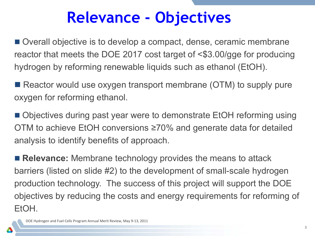# **Relevance - Objectives**

■ Overall objective is to develop a compact, dense, ceramic membrane reactor that meets the DOE 2017 cost target of <\$3.00/gge for producing hydrogen by reforming renewable liquids such as ethanol (EtOH).

■ Reactor would use oxygen transport membrane (OTM) to supply pure oxygen for reforming ethanol.

■ Objectives during past year were to demonstrate EtOH reforming using OTM to achieve EtOH conversions ≥70% and generate data for detailed analysis to identify benefits of approach.

■ **Relevance:** Membrane technology provides the means to attack barriers (listed on slide #2) to the development of small-scale hydrogen production technology. The success of this project will support the DOE objectives by reducing the costs and energy requirements for reforming of EtOH.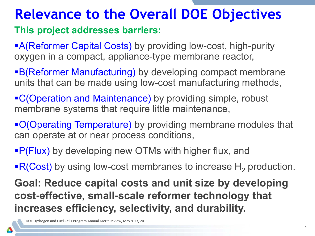## **Relevance to the Overall DOE Objectives**

#### **This project addresses barriers:**

**A(Reformer Capital Costs)** by providing low-cost, high-purity oxygen in a compact, appliance-type membrane reactor,

B(Reformer Manufacturing) by developing compact membrane units that can be made using low-cost manufacturing methods,

**C(Operation and Maintenance)** by providing simple, robust membrane systems that require little maintenance,

O(Operating Temperature) by providing membrane modules that can operate at or near process conditions,

**P(Flux)** by developing new OTMs with higher flux, and

 $\mathsf{R}(\mathsf{Cost})$  by using low-cost membranes to increase H<sub>2</sub> production.

**Goal: Reduce capital costs and unit size by developing cost-effective, small-scale reformer technology that increases efficiency, selectivity, and durability.**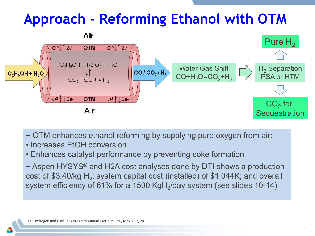# **Approach - Reforming Ethanol with OTM**



- − OTM enhances ethanol reforming by supplying pure oxygen from air:
- Increases EtOH conversion
- Enhances catalyst performance by preventing coke formation
- − Aspen HYSYS® and H2A cost analyses done by DTI shows a production cost of \$3.40/kg  $H_2$ ; system capital cost (installed) of \$1,044K; and overall system efficiency of 61% for a 1500 KgH $_2$ /day system (see slides 10-14)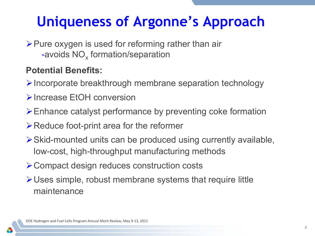# **Uniqueness of Argonne's Approach**

 $\triangleright$  Pure oxygen is used for reforming rather than air -avoids NO<sub>x</sub> formation/separation

#### **Potential Benefits:**

- $\triangleright$  Incorporate breakthrough membrane separation technology
- **Increase EtOH conversion**
- Enhance catalyst performance by preventing coke formation
- $\triangleright$  Reduce foot-print area for the reformer
- Skid-mounted units can be produced using currently available, low-cost, high-throughput manufacturing methods
- **≻ Compact design reduces construction costs**
- Uses simple, robust membrane systems that require little maintenance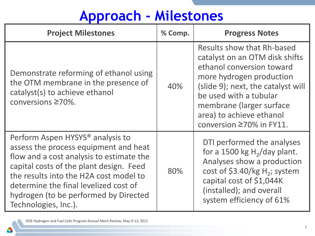# **Approach - Milestones**

| <b>Project Milestones</b>                                                                                                                                                                                                                                                                                                        | % Comp. | <b>Progress Notes</b>                                                                                                                                                                                                                                                      |
|----------------------------------------------------------------------------------------------------------------------------------------------------------------------------------------------------------------------------------------------------------------------------------------------------------------------------------|---------|----------------------------------------------------------------------------------------------------------------------------------------------------------------------------------------------------------------------------------------------------------------------------|
| Demonstrate reforming of ethanol using<br>the OTM membrane in the presence of<br>catalyst(s) to achieve ethanol<br>conversions ≥70%.                                                                                                                                                                                             | 40%     | Results show that Rh-based<br>catalyst on an OTM disk shifts<br>ethanol conversion toward<br>more hydrogen production<br>(slide 9); next, the catalyst will<br>be used with a tubular<br>membrane (larger surface)<br>area) to achieve ethanol<br>conversion ≥70% in FY11. |
| Perform Aspen HYSYS <sup>®</sup> analysis to<br>assess the process equipment and heat<br>flow and a cost analysis to estimate the<br>capital costs of the plant design. Feed<br>the results into the H2A cost model to<br>determine the final levelized cost of<br>hydrogen (to be performed by Directed<br>Technologies, Inc.). | 80%     | DTI performed the analyses<br>for a 1500 kg $H2/day$ plant.<br>Analyses show a production<br>cost of \$3.40/kg $H_2$ ; system<br>capital cost of \$1,044K<br>(installed); and overall<br>system efficiency of 61%                                                          |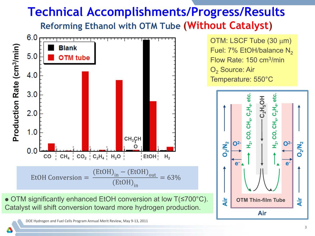### **Technical Accomplishments/Progress/Results Reforming Ethanol with OTM Tube (Without Catalyst)**



 OTM significantly enhanced EtOH conversion at low T(≤700°C). Catalyst will shift conversion toward more hydrogen production.

DOE Hydrogen and Fuel Cells Program Annual Merit Review, May 9-13, 2011

OTM: LSCF Tube (30 µm) Fuel:  $7\%$  EtOH/balance N<sub>2</sub> Flow Rate: 150 cm3/min O<sub>2</sub> Source: Air Temperature: 550°C

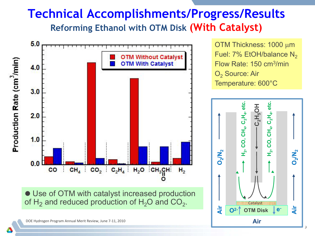### **Technical Accomplishments/Progress/Results Reforming Ethanol with OTM Disk (With Catalyst)**



 Use of OTM with catalyst increased production of H<sub>2</sub> and reduced production of H<sub>2</sub>O and CO<sub>2</sub>.

OTM Thickness: 1000 µm Fuel:  $7\%$  EtOH/balance N<sub>2</sub> Flow Rate: 150 cm3/min O<sub>2</sub> Source: Air Temperature: 600°C

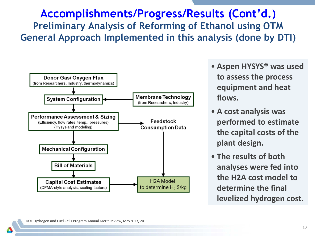#### **Accomplishments/Progress/Results (Cont'd.) Preliminary Analysis of Reforming of Ethanol using OTM General Approach Implemented in this analysis (done by DTI)**



- **Aspen HYSYS® was used to assess the process equipment and heat flows.**
- **A cost analysis was performed to estimate the capital costs of the plant design.**
- **The results of both analyses were fed into the H2A cost model to determine the final levelized hydrogen cost.**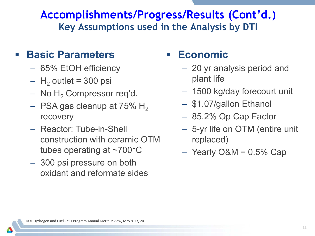#### **Accomplishments/Progress/Results (Cont'd.) Key Assumptions used in the Analysis by DTI**

#### **Basic Parameters**

- 65% EtOH efficiency
- $-$  H<sub>2</sub> outlet = 300 psi
- $-$  No H<sub>2</sub> Compressor req'd.
- $-$  PSA gas cleanup at 75% H<sub>2</sub> recovery
- Reactor: Tube-in-Shell construction with ceramic OTM tubes operating at ~700°C
- 300 psi pressure on both oxidant and reformate sides

#### **Economic**

- 20 yr analysis period and plant life
- 1500 kg/day forecourt unit
- \$1.07/gallon Ethanol
- 85.2% Op Cap Factor
- 5-yr life on OTM (entire unit replaced)
- $-$  Yearly O&M = 0.5% Cap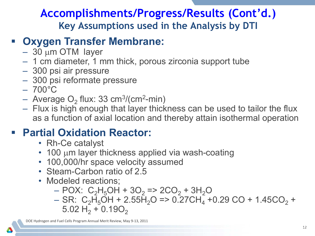#### **Accomplishments/Progress/Results (Cont'd.) Key Assumptions used in the Analysis by DTI**

#### **Oxygen Transfer Membrane:**

- 30 µm OTM layer
- 1 cm diameter, 1 mm thick, porous zirconia support tube
- 300 psi air pressure
- 300 psi reformate pressure
- $-700^{\circ}$ C
- $-$  Average O<sub>2</sub> flux: 33 cm<sup>3</sup>/(cm<sup>2</sup>-min)
- Flux is high enough that layer thickness can be used to tailor the flux as a function of axial location and thereby attain isothermal operation

#### **Partial Oxidation Reactor:**

- Rh-Ce catalyst
- 100 µm layer thickness applied via wash-coating
- 100,000/hr space velocity assumed
- Steam-Carbon ratio of 2.5
- Modeled reactions;
	- $-$  POX: C<sub>2</sub>H<sub>5</sub>OH + 3O<sub>2</sub> => 2CO<sub>2</sub> + 3H<sub>2</sub>O
	- $-$  SR: C<sub>2</sub>H<sub>5</sub>OH + 2.55H<sub>2</sub>O => 0.27CH<sub>4</sub> +0.29 CO + 1.45CO<sub>2</sub> +  $5.02 H_2 + 0.19O_2$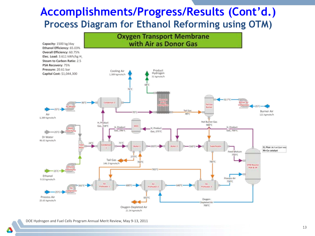#### **Accomplishments/Progress/Results (Cont'd.) Process Diagram for Ethanol Reforming using OTM)**

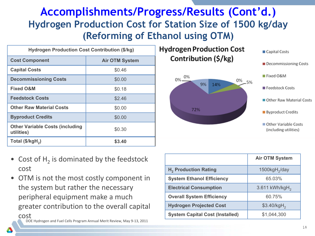#### **Accomplishments/Progress/Results (Cont'd.) Hydrogen Production Cost for Station Size of 1500 kg/day (Reforming of Ethanol using OTM)**

| <b>Hydrogen Production Cost Contribution (\$/kg)</b> |                       |  |
|------------------------------------------------------|-----------------------|--|
| <b>Cost Component</b>                                | <b>Air OTM System</b> |  |
| <b>Capital Costs</b>                                 | \$0.46                |  |
| <b>Decommissioning Costs</b>                         | \$0.00                |  |
| <b>Fixed O&amp;M</b>                                 | \$0.18                |  |
| <b>Feedstock Costs</b>                               | \$2.46                |  |
| <b>Other Raw Material Costs</b>                      | \$0.00                |  |
| <b>Byproduct Credits</b>                             | \$0.00                |  |
| <b>Other Variable Costs (including</b><br>utilities) | \$0.30                |  |
| Total $(\frac{5}{kgH_2})$                            | \$3.40                |  |





Capital Costs

Decommissioning Costs

- Cost of  $H<sub>2</sub>$  is dominated by the feedstock cost
- OTM is not the most costly component in the system but rather the necessary peripheral equipment make a much greater contribution to the overall capital

cost

|                                        | <b>Air OTM System</b>        |
|----------------------------------------|------------------------------|
| H <sub>2</sub> Production Rating       | $1500$ kgH <sub>2</sub> /day |
| <b>System Ethanol Efficiency</b>       | 65.03%                       |
| <b>Electrical Consumption</b>          | $3.611$ kWh/kgH <sub>2</sub> |
| <b>Overall System Efficiency</b>       | 60.75%                       |
| <b>Hydrogen Projected Cost</b>         | $$3.40/kgH_{2}$              |
| <b>System Capital Cost (Installed)</b> | \$1,044,300                  |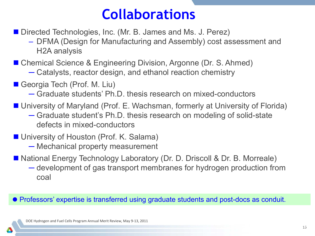## **Collaborations**

**Directed Technologies, Inc. (Mr. B. James and Ms. J. Perez)** 

– DFMA (Design for Manufacturing and Assembly) cost assessment and H2A analysis

■ Chemical Science & Engineering Division, Argonne (Dr. S. Ahmed)

- ─ Catalysts, reactor design, and ethanol reaction chemistry
- Georgia Tech (Prof. M. Liu)
	- ─ Graduate students' Ph.D. thesis research on mixed-conductors
- University of Maryland (Prof. E. Wachsman, formerly at University of Florida)
	- ─ Graduate student's Ph.D. thesis research on modeling of solid-state defects in mixed-conductors
- University of Houston (Prof. K. Salama)
	- ─ Mechanical property measurement
- National Energy Technology Laboratory (Dr. D. Driscoll & Dr. B. Morreale)
	- ─ development of gas transport membranes for hydrogen production from coal

#### Professors' expertise is transferred using graduate students and post-docs as conduit.

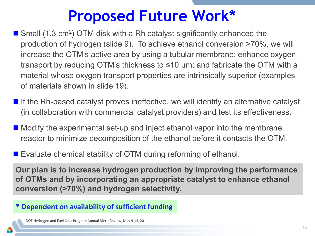# **Proposed Future Work\***

- $\blacksquare$  Small (1.3 cm<sup>2</sup>) OTM disk with a Rh catalyst significantly enhanced the production of hydrogen (slide 9). To achieve ethanol conversion >70%, we will increase the OTM's active area by using a tubular membrane; enhance oxygen transport by reducing OTM's thickness to ≤10 μm; and fabricate the OTM with a material whose oxygen transport properties are intrinsically superior (examples of materials shown in slide 19).
- $\blacksquare$  If the Rh-based catalyst proves ineffective, we will identify an alternative catalyst (in collaboration with commercial catalyst providers) and test its effectiveness.
- $\blacksquare$  Modify the experimental set-up and inject ethanol vapor into the membrane reactor to minimize decomposition of the ethanol before it contacts the OTM.
- Evaluate chemical stability of OTM during reforming of ethanol.

**Our plan is to increase hydrogen production by improving the performance of OTMs and by incorporating an appropriate catalyst to enhance ethanol conversion (>70%) and hydrogen selectivity.** 

#### **\* Dependent on availability of sufficient funding**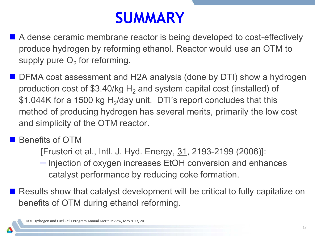# **SUMMARY**

- A dense ceramic membrane reactor is being developed to cost-effectively produce hydrogen by reforming ethanol. Reactor would use an OTM to supply pure  $O<sub>2</sub>$  for reforming.
- DFMA cost assessment and H2A analysis (done by DTI) show a hydrogen production cost of \$3.40/kg  $H_2$  and system capital cost (installed) of \$1,044K for a 1500 kg  $H<sub>2</sub>/day$  unit. DTI's report concludes that this method of producing hydrogen has several merits, primarily the low cost and simplicity of the OTM reactor.

**B** Benefits of OTM

[Frusteri et al., Intl. J. Hyd. Energy, 31, 2193-2199 (2006)]:

– Injection of oxygen increases EtOH conversion and enhances catalyst performance by reducing coke formation.

■ Results show that catalyst development will be critical to fully capitalize on benefits of OTM during ethanol reforming.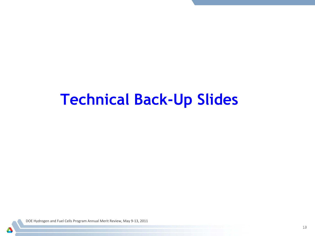# **Technical Back-Up Slides**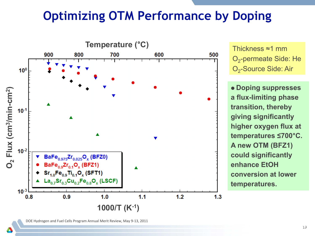## **Optimizing OTM Performance by Doping**



Thickness ≈1 mm O<sub>2</sub>-permeate Side: He O<sub>2</sub>-Source Side: Air

 **Doping suppresses a flux-limiting phase transition, thereby giving significantly higher oxygen flux at temperatures ≤700**°**C. A new OTM (BFZ1) could significantly enhance EtOH conversion at lower temperatures.**

DOE Hydrogen and Fuel Cells Program Annual Merit Review, May 9-13, 2011